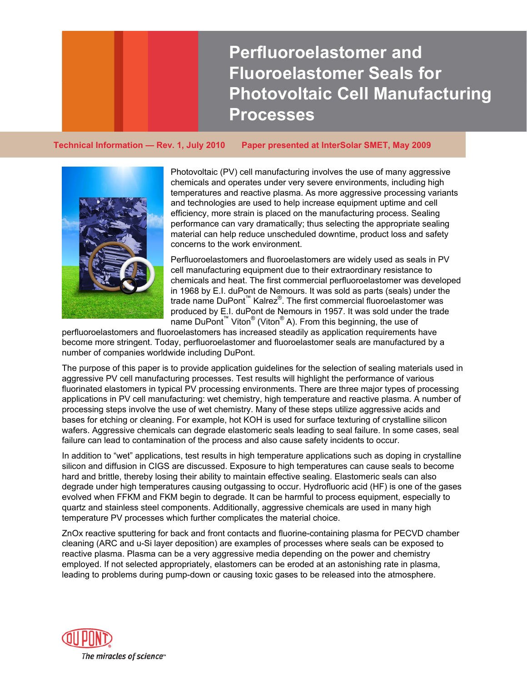**Perfluoroelastomer and Fluoroelastomer Seals for Photovoltaic Cell Manufacturing Processes** 

**Technical Information — Rev. 1, July 2010 Paper presented at InterSolar SMET, May 2009** 



Photovoltaic (PV) cell manufacturing involves the use of many aggressive chemicals and operates under very severe environments, including high temperatures and reactive plasma. As more aggressive processing variants and technologies are used to help increase equipment uptime and cell efficiency, more strain is placed on the manufacturing process. Sealing performance can vary dramatically; thus selecting the appropriate sealing material can help reduce unscheduled downtime, product loss and safety concerns to the work environment.

Perfluoroelastomers and fluoroelastomers are widely used as seals in PV cell manufacturing equipment due to their extraordinary resistance to chemicals and heat. The first commercial perfluoroelastomer was developed in 1968 by E.I. duPont de Nemours. It was sold as parts (seals) under the trade name DuPont™ Kalrez®. The first commercial fluoroelastomer was produced by E.I. duPont de Nemours in 1957. It was sold under the trade name DuPont<sup>™</sup> Viton<sup>®</sup> (Viton<sup>®</sup> A). From this beginning, the use of

perfluoroelastomers and fluoroelastomers has increased steadily as application requirements have become more stringent. Today, perfluoroelastomer and fluoroelastomer seals are manufactured by a number of companies worldwide including DuPont.

The purpose of this paper is to provide application guidelines for the selection of sealing materials used in applications in PV cell manufacturing: wet chemistry, high temperature and reactive plasma. A number of wafers. Aggressive chemicals can degrade elastomeric seals leading to seal failure. In some cases, seal aggressive PV cell manufacturing processes. Test results will highlight the performance of various fluorinated elastomers in typical PV processing environments. There are three major types of processing processing steps involve the use of wet chemistry. Many of these steps utilize aggressive acids and bases for etching or cleaning. For example, hot KOH is used for surface texturing of crystalline silicon failure can lead to contamination of the process and also cause safety incidents to occur.

silicon and diffusion in CIGS are discussed. Exposure to high temperatures can cause seals to become degrade under high temperatures causing outgassing to occur. Hydrofluoric acid (HF) is one of the gases evolved when FFKM and FKM begin to degrade. It can be harmful to process equipment, especially to quartz and stainless steel components. Additionally, aggressive chemicals are used in many high In addition to "wet" applications, test results in high temperature applications such as doping in crystalline hard and brittle, thereby losing their ability to maintain effective sealing. Elastomeric seals can also temperature PV processes which further complicates the material choice.

ZnOx reactive sputtering for back and front contacts and fluorine-containing plasma for PECVD chamber cleaning (ARC and u-Si layer deposition) are examples of processes where seals can be exposed to leading to problems during pump-down or causing toxic gases to be released into the atmosphere. reactive plasma. Plasma can be a very aggressive media depending on the power and chemistry employed. If not selected appropriately, elastomers can be eroded at an astonishing rate in plasma,

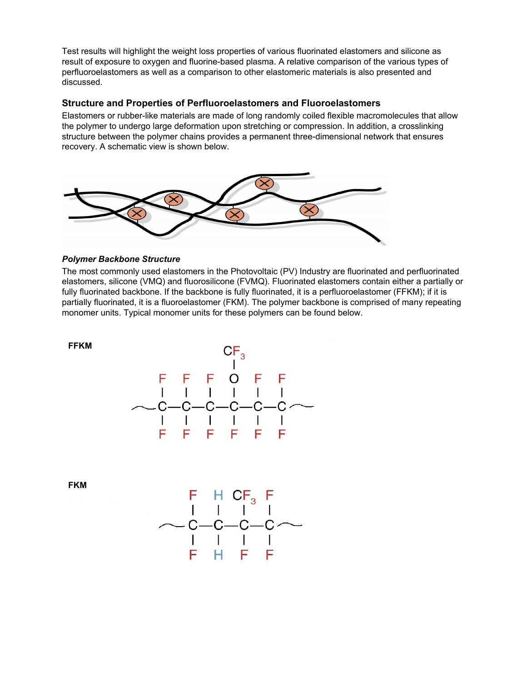Test results will highlight the weight loss properties of various fluorinated elastomers and silicone as result of exposure to oxygen and fluorine-based plasma. A relative comparison of the various types of perfluoroelastomers as well as a comparison to other elastomeric materials is also presented and discussed.

### **Structure and Properties of Perfluoroelastomers and Fluoroelastomers**

Elastomers or rubber-like materials are made of long randomly coiled flexible macromolecules that allow the polymer to undergo large deformation upon stretching or compression. In addition, a crosslinking structure between the polymer chains provides a permanent three-dimensional network that ensures recovery. A schematic view is shown below.



### *Polymer Backbone Structure*

The most commonly used elastomers in the Photovoltaic (PV) Industry are fluorinated and perfluorinated elastomers, silicone (VMQ) and fluorosilicone (FVMQ). Fluorinated elastomers contain either a partially or fully fluorinated backbone. If the backbone is fully fluorinated, it is a perfluoroelastomer (FFKM); if it is partially fluorinated, it is a fluoroelastomer (FKM). The polymer backbone is comprised of many repeating monomer units. Typical monomer units for these polymers can be found below.



**FKM** 

**FFKM** 

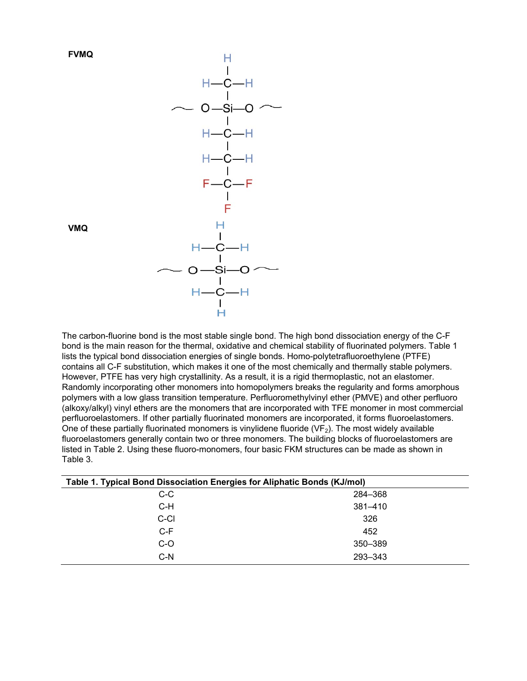



**VMQ** 

The carbon-fluorine bond is the most stable single bond. The high bond dissociation energy of the C-F bond is the main reason for the thermal, oxidative and chemical stability of fluorinated polymers. Table 1 lists the typical bond dissociation energies of single bonds. Homo-polytetrafluoroethylene (PTFE) contains all C-F substitution, which makes it one of the most chemically and thermally stable polymers. However, PTFE has very high crystallinity. As a result, it is a rigid thermoplastic, not an elastomer. Randomly incorporating other monomers into homopolymers breaks the regularity and forms amorphous polymers with a low glass transition temperature. Perfluoromethylvinyl ether (PMVE) and other perfluoro (alkoxy/alkyl) vinyl ethers are the monomers that are incorporated with TFE monomer in most commercial perfluoroelastomers. If other partially fluorinated monomers are incorporated, it forms fluoroelastomers. One of these partially fluorinated monomers is vinylidene fluoride ( $VF<sub>2</sub>$ ). The most widely available fluoroelastomers generally contain two or three monomers. The building blocks of fluoroelastomers are listed in Table 2. Using these fluoro-monomers, four basic FKM structures can be made as shown in Table 3.

| Table 1. Typical Bond Dissociation Energies for Aliphatic Bonds (KJ/mol) |         |  |
|--------------------------------------------------------------------------|---------|--|
| C-C                                                                      | 284-368 |  |
| C-H                                                                      | 381-410 |  |
| C-CI                                                                     | 326     |  |
| $C-F$                                                                    | 452     |  |
| $C-O$                                                                    | 350-389 |  |
| $C-N$                                                                    | 293-343 |  |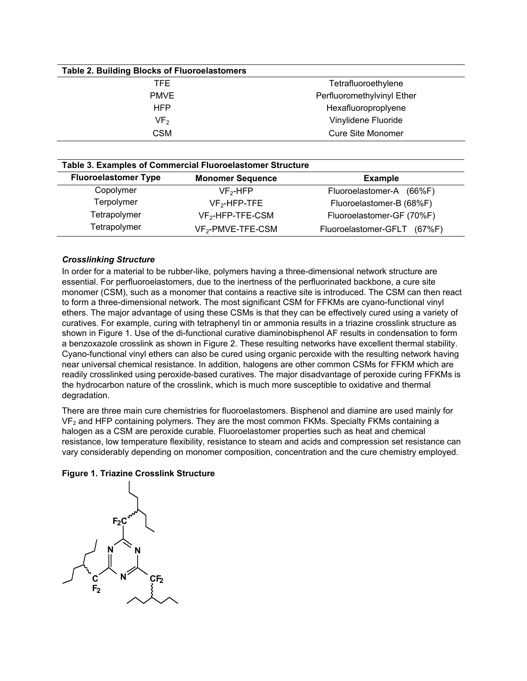| <b>Table 2. Building Blocks of Fluoroelastomers</b> |                            |
|-----------------------------------------------------|----------------------------|
| TFE.                                                | Tetrafluoroethylene        |
| <b>PMVE</b>                                         | Perfluoromethylvinyl Ether |
| <b>HFP</b>                                          | Hexafluoroproplyene        |
| VF <sub>2</sub>                                     | Vinylidene Fluoride        |
| CSM                                                 | <b>Cure Site Monomer</b>   |

| Table 3. Examples of Commercial Fluoroelastomer Structure |                               |                                |  |
|-----------------------------------------------------------|-------------------------------|--------------------------------|--|
| <b>Fluoroelastomer Type</b>                               | <b>Monomer Sequence</b>       | <b>Example</b>                 |  |
| Copolymer                                                 | $VF2-HFP$                     | Fluoroelastomer-A<br>$(66\%F)$ |  |
| Terpolymer                                                | $VF2-HFP-TFE$                 | Fluoroelastomer-B (68%F)       |  |
| Tetrapolymer                                              | $VF_2$ -HFP-TFE-CSM           | Fluoroelastomer-GF (70%F)      |  |
| Tetrapolymer                                              | VF <sub>2</sub> -PMVE-TFE-CSM | Fluoroelastomer-GFLT<br>(67%F) |  |

### *Crosslinking Structure*

In order for a material to be rubber-like, polymers having a three-dimensional network structure are essential. For perfluoroelastomers, due to the inertness of the perfluorinated backbone, a cure site monomer (CSM), such as a monomer that contains a reactive site is introduced. The CSM can then react to form a three-dimensional network. The most significant CSM for FFKMs are cyano-functional vinyl ethers. The major advantage of using these CSMs is that they can be effectively cured using a variety of curatives. For example, curing with tetraphenyl tin or ammonia results in a triazine crosslink structure as shown in Figure 1. Use of the di-functional curative diaminobisphenol AF results in condensation to form a benzoxazole crosslink as shown in Figure 2. These resulting networks have excellent thermal stability. Cyano-functional vinyl ethers can also be cured using organic peroxide with the resulting network having near universal chemical resistance. In addition, halogens are other common CSMs for FFKM which are readily crosslinked using peroxide-based curatives. The major disadvantage of peroxide curing FFKMs is the hydrocarbon nature of the crosslink, which is much more susceptible to oxidative and thermal degradation.

There are three main cure chemistries for fluoroelastomers. Bisphenol and diamine are used mainly for VF<sub>2</sub> and HFP containing polymers. They are the most common FKMs. Specialty FKMs containing a halogen as a CSM are peroxide curable. Fluoroelastomer properties such as heat and chemical resistance, low temperature flexibility, resistance to steam and acids and compression set resistance can vary considerably depending on monomer composition, concentration and the cure chemistry employed.

### **Figure 1. Triazine Crosslink Structure**

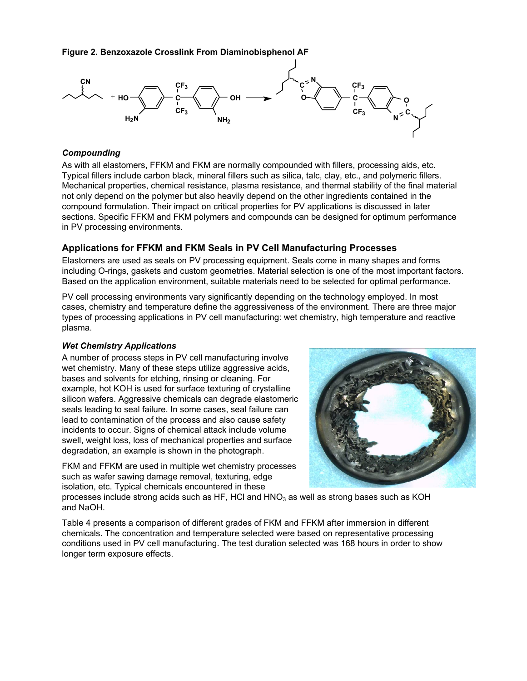**Figure 2. Benzoxazole Crosslink From Diaminobisphenol AF** 



### *Compounding*

As with all elastomers, FFKM and FKM are normally compounded with fillers, processing aids, etc. Typical fillers include carbon black, mineral fillers such as silica, talc, clay, etc., and polymeric fillers. Mechanical properties, chemical resistance, plasma resistance, and thermal stability of the final material not only depend on the polymer but also heavily depend on the other ingredients contained in the compound formulation. Their impact on critical properties for PV applications is discussed in later sections. Specific FFKM and FKM polymers and compounds can be designed for optimum performance in PV processing environments.

### **Applications for FFKM and FKM Seals in PV Cell Manufacturing Processes**

Elastomers are used as seals on PV processing equipment. Seals come in many shapes and forms including O-rings, gaskets and custom geometries. Material selection is one of the most important factors. Based on the application environment, suitable materials need to be selected for optimal performance.

PV cell processing environments vary significantly depending on the technology employed. In most cases, chemistry and temperature define the aggressiveness of the environment. There are three major types of processing applications in PV cell manufacturing: wet chemistry, high temperature and reactive plasma.

### *Wet Chemistry Applications*

A number of process steps in PV cell manufacturing involve wet chemistry. Many of these steps utilize aggressive acids, bases and solvents for etching, rinsing or cleaning. For example, hot KOH is used for surface texturing of crystalline silicon wafers. Aggressive chemicals can degrade elastomeric seals leading to seal failure. In some cases, seal failure can lead to contamination of the process and also cause safety incidents to occur. Signs of chemical attack include volume swell, weight loss, loss of mechanical properties and surface degradation, an example is shown in the photograph.

FKM and FFKM are used in multiple wet chemistry processes such as wafer sawing damage removal, texturing, edge isolation, etc. Typical chemicals encountered in these



processes include strong acids such as HF, HCl and  $HNO<sub>3</sub>$  as well as strong bases such as KOH and NaOH.

Table 4 presents a comparison of different grades of FKM and FFKM after immersion in different chemicals. The concentration and temperature selected were based on representative processing conditions used in PV cell manufacturing. The test duration selected was 168 hours in order to show longer term exposure effects.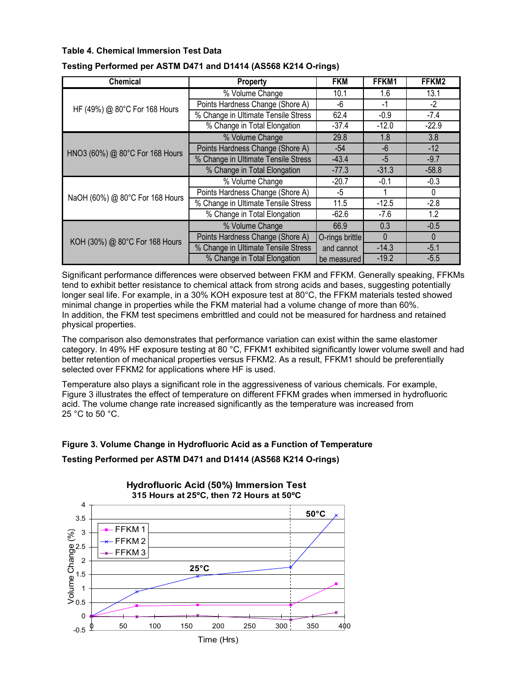### **Table 4. Chemical Immersion Test Data**

| <b>Chemical</b>                 | Property                            | <b>FKM</b>      | FFKM1    | FFKM2    |
|---------------------------------|-------------------------------------|-----------------|----------|----------|
|                                 | % Volume Change                     | 10.1            | 1.6      | 13.1     |
| HF (49%) @ 80°C For 168 Hours   | Points Hardness Change (Shore A)    | -6              | $-1$     | $-2$     |
|                                 | % Change in Ultimate Tensile Stress | 62.4            | $-0.9$   | $-7.4$   |
|                                 | % Change in Total Elongation        | $-37.4$         | $-12.0$  | $-22.9$  |
|                                 | % Volume Change                     | 29.8            | 1.8      | 3.8      |
| HNO3 (60%) @ 80°C For 168 Hours | Points Hardness Change (Shore A)    | $-54$           | $-6$     | $-12$    |
|                                 | % Change in Ultimate Tensile Stress | $-43.4$         | $-5$     | $-9.7$   |
|                                 | % Change in Total Elongation        | $-77.3$         | $-31.3$  | $-58.8$  |
|                                 | % Volume Change                     | $-20.7$         | $-0.1$   | $-0.3$   |
| NaOH (60%) @ 80°C For 168 Hours | Points Hardness Change (Shore A)    | $-5$            | 1        | $\Omega$ |
|                                 | % Change in Ultimate Tensile Stress | 11.5            | $-12.5$  | $-2.8$   |
|                                 | % Change in Total Elongation        | $-62.6$         | $-7.6$   | 1.2      |
|                                 | % Volume Change                     | 66.9            | 0.3      | $-0.5$   |
| KOH (30%) @ 80°C For 168 Hours  | Points Hardness Change (Shore A)    | O-rings brittle | $\Omega$ | $\Omega$ |
|                                 | % Change in Ultimate Tensile Stress | and cannot      | $-14.3$  | $-5.1$   |
|                                 | % Change in Total Elongation        | be measured     | $-19.2$  | $-5.5$   |

### **Testing Performed per ASTM D471 and D1414 (AS568 K214 O-rings)**

Significant performance differences were observed between FKM and FFKM. Generally speaking, FFKMs tend to exhibit better resistance to chemical attack from strong acids and bases, suggesting potentially longer seal life. For example, in a 30% KOH exposure test at 80°C, the FFKM materials tested showed minimal change in properties while the FKM material had a volume change of more than 60%. In addition, the FKM test specimens embrittled and could not be measured for hardness and retained physical properties.

The comparison also demonstrates that performance variation can exist within the same elastomer category. In 49% HF exposure testing at 80 °C, FFKM1 exhibited significantly lower volume swell and had better retention of mechanical properties versus FFKM2. As a result, FFKM1 should be preferentially selected over FFKM2 for applications where HF is used.

Temperature also plays a significant role in the aggressiveness of various chemicals. For example, Figure 3 illustrates the effect of temperature on different FFKM grades when immersed in hydrofluoric acid. The volume change rate increased significantly as the temperature was increased from 25 °C to 50 °C.

## **Figure 3. Volume Change in Hydrofluoric Acid as a Function of Temperature Testing Performed per ASTM D471 and D1414 (AS568 K214 O-rings)**

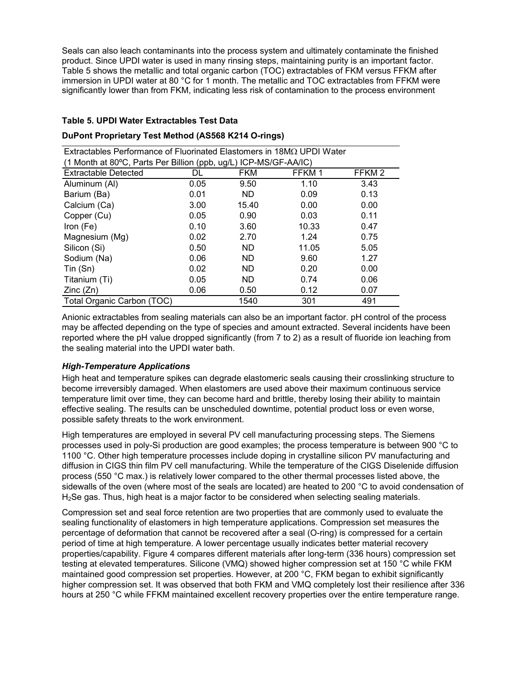Seals can also leach contaminants into the process system and ultimately contaminate the finished product. Since UPDI water is used in many rinsing steps, maintaining purity is an important factor. Table 5 shows the metallic and total organic carbon (TOC) extractables of FKM versus FFKM after immersion in UPDI water at 80 °C for 1 month. The metallic and TOC extractables from FFKM were significantly lower than from FKM, indicating less risk of contamination to the process environment

### **Table 5. UPDI Water Extractables Test Data**

### **DuPont Proprietary Test Method (AS568 K214 O-rings)**

Extractables Performance of Fluorinated Elastomers in 18MΩ UPDI Water  $(1 \text{ MeV})$  at 800 $\Omega$ , Parts Per Billian (ppb,

| (1 MONTH at 80°C, Parts Per Billion (ppp, ug/L) ICP-MS/GF-AA/IC) |      |            |        |                   |
|------------------------------------------------------------------|------|------------|--------|-------------------|
| <b>Extractable Detected</b>                                      | DL   | <b>FKM</b> | FFKM 1 | FFKM <sub>2</sub> |
| Aluminum (AI)                                                    | 0.05 | 9.50       | 1.10   | 3.43              |
| Barium (Ba)                                                      | 0.01 | ND.        | 0.09   | 0.13              |
| Calcium (Ca)                                                     | 3.00 | 15.40      | 0.00   | 0.00              |
| Copper (Cu)                                                      | 0.05 | 0.90       | 0.03   | 0.11              |
| Iron (Fe)                                                        | 0.10 | 3.60       | 10.33  | 0.47              |
| Magnesium (Mg)                                                   | 0.02 | 2.70       | 1.24   | 0.75              |
| Silicon (Si)                                                     | 0.50 | ND.        | 11.05  | 5.05              |
| Sodium (Na)                                                      | 0.06 | ND.        | 9.60   | 1.27              |
| Tin(Sn)                                                          | 0.02 | <b>ND</b>  | 0.20   | 0.00              |
| Titanium (Ti)                                                    | 0.05 | ND.        | 0.74   | 0.06              |
| Zinc(Zn)                                                         | 0.06 | 0.50       | 0.12   | 0.07              |
| Total Organic Carbon (TOC)                                       |      | 1540       | 301    | 491               |

Anionic extractables from sealing materials can also be an important factor. pH control of the process may be affected depending on the type of species and amount extracted. Several incidents have been reported where the pH value dropped significantly (from 7 to 2) as a result of fluoride ion leaching from the sealing material into the UPDI water bath.

### *High-Temperature Applications*

High heat and temperature spikes can degrade elastomeric seals causing their crosslinking structure to become irreversibly damaged. When elastomers are used above their maximum continuous service temperature limit over time, they can become hard and brittle, thereby losing their ability to maintain effective sealing. The results can be unscheduled downtime, potential product loss or even worse, possible safety threats to the work environment.

High temperatures are employed in several PV cell manufacturing processing steps. The Siemens processes used in poly-Si production are good examples; the process temperature is between 900 °C to 1100 °C. Other high temperature processes include doping in crystalline silicon PV manufacturing and diffusion in CIGS thin film PV cell manufacturing. While the temperature of the CIGS Diselenide diffusion process (550 °C max.) is relatively lower compared to the other thermal processes listed above, the sidewalls of the oven (where most of the seals are located) are heated to 200 °C to avoid condensation of H<sub>2</sub>Se gas. Thus, high heat is a major factor to be considered when selecting sealing materials.

Compression set and seal force retention are two properties that are commonly used to evaluate the sealing functionality of elastomers in high temperature applications. Compression set measures the percentage of deformation that cannot be recovered after a seal (O-ring) is compressed for a certain period of time at high temperature. A lower percentage usually indicates better material recovery properties/capability. Figure 4 compares different materials after long-term (336 hours) compression set testing at elevated temperatures. Silicone (VMQ) showed higher compression set at 150 °C while FKM maintained good compression set properties. However, at 200 °C, FKM began to exhibit significantly higher compression set. It was observed that both FKM and VMQ completely lost their resilience after 336 hours at 250 °C while FFKM maintained excellent recovery properties over the entire temperature range.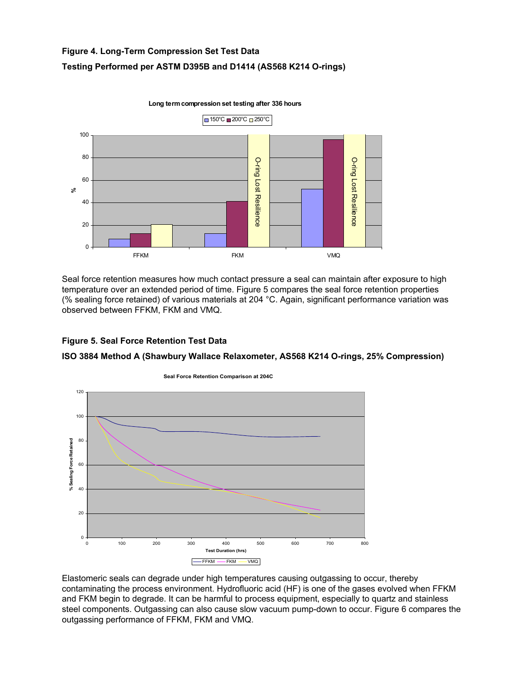# **Figure 4. Long-Term Compression Set Test Data Testing Performed per ASTM D395B and D1414 (AS568 K214 O-rings)**



Seal force retention measures how much contact pressure a seal can maintain after exposure to high temperature over an extended period of time. Figure 5 compares the seal force retention properties (% sealing force retained) of various materials at 204 °C. Again, significant performance variation was observed between FFKM, FKM and VMQ.

### **Figure 5. Seal Force Retention Test Data**

### **ISO 3884 Method A (Shawbury Wallace Relaxometer, AS568 K214 O-rings, 25% Compression)**



Elastomeric seals can degrade under high temperatures causing outgassing to occur, thereby contaminating the process environment. Hydrofluoric acid (HF) is one of the gases evolved when FFKM and FKM begin to degrade. It can be harmful to process equipment, especially to quartz and stainless steel components. Outgassing can also cause slow vacuum pump-down to occur. Figure 6 compares the outgassing performance of FFKM, FKM and VMQ.

**Long term compression set testing after 336 hours**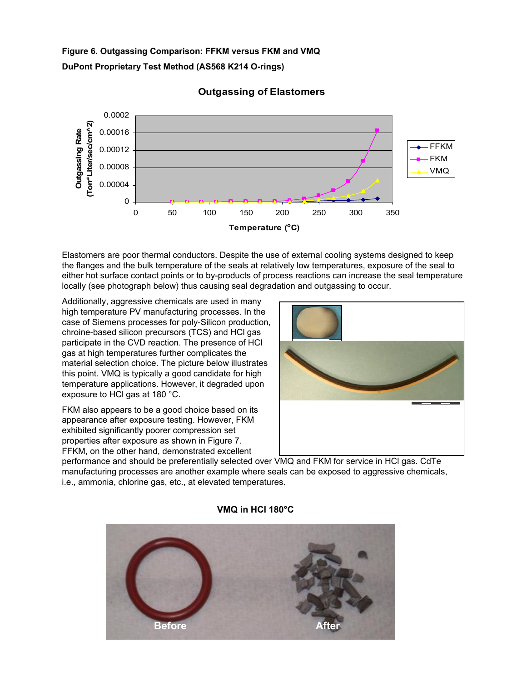# **Figure 6. Outgassing Comparison: FFKM versus FKM and VMQ DuPont Proprietary Test Method (AS568 K214 O-rings)**



## **Outgassing of Elastomers**

Elastomers are poor thermal conductors. Despite the use of external cooling systems designed to keep the flanges and the bulk temperature of the seals at relatively low temperatures, exposure of the seal to either hot surface contact points or to by-products of process reactions can increase the seal temperature locally (see photograph below) thus causing seal degradation and outgassing to occur.

Additionally, aggressive chemicals are used in many high temperature PV manufacturing processes. In the case of Siemens processes for poly-Silicon production, chroine-based silicon precursors (TCS) and HCl gas participate in the CVD reaction. The presence of HCl gas at high temperatures further complicates the material selection choice. The picture below illustrates this point. VMQ is typically a good candidate for high temperature applications. However, it degraded upon exposure to HCl gas at 180 °C.

FKM also appears to be a good choice based on its appearance after exposure testing. However, FKM exhibited significantly poorer compression set properties after exposure as shown in Figure 7. FFKM, on the other hand, demonstrated excellent



performance and should be preferentially selected over VMQ and FKM for service in HCl gas. CdTe manufacturing processes are another example where seals can be exposed to aggressive chemicals, i.e., ammonia, chlorine gas, etc., at elevated temperatures.



### **VMQ in HCl 180°C**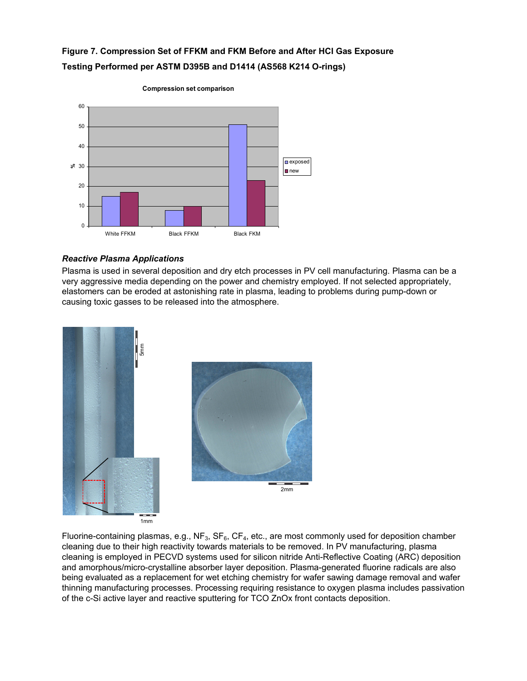# **Figure 7. Compression Set of FFKM and FKM Before and After HCl Gas Exposure Testing Performed per ASTM D395B and D1414 (AS568 K214 O-rings)**



#### **Compression set comparison**

### *Reactive Plasma Applications*

Plasma is used in several deposition and dry etch processes in PV cell manufacturing. Plasma can be a very aggressive media depending on the power and chemistry employed. If not selected appropriately, elastomers can be eroded at astonishing rate in plasma, leading to problems during pump-down or causing toxic gasses to be released into the atmosphere.



Fluorine-containing plasmas, e.g.,  $NF_3$ ,  $SF_6$ ,  $CF_4$ , etc., are most commonly used for deposition chamber cleaning due to their high reactivity towards materials to be removed. In PV manufacturing, plasma cleaning is employed in PECVD systems used for silicon nitride Anti-Reflective Coating (ARC) deposition and amorphous/micro-crystalline absorber layer deposition. Plasma-generated fluorine radicals are also being evaluated as a replacement for wet etching chemistry for wafer sawing damage removal and wafer thinning manufacturing processes. Processing requiring resistance to oxygen plasma includes passivation of the c-Si active layer and reactive sputtering for TCO ZnOx front contacts deposition.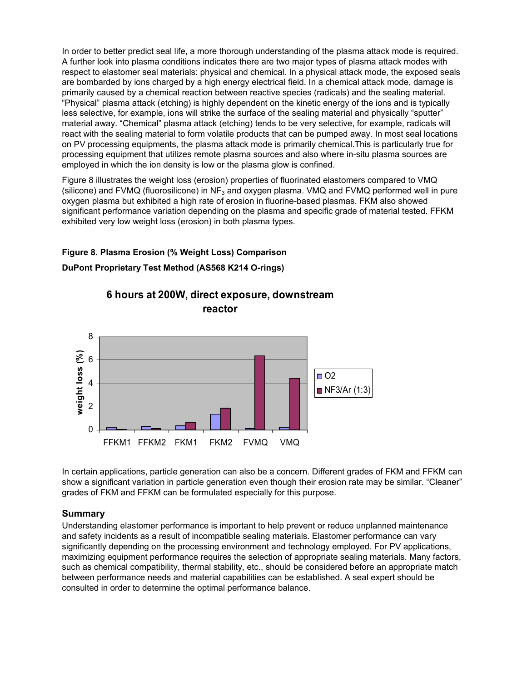In order to better predict seal life, a more thorough understanding of the plasma attack mode is required. A further look into plasma conditions indicates there are two major types of plasma attack modes with respect to elastomer seal materials: physical and chemical. In a physical attack mode, the exposed seals are bombarded by ions charged by a high energy electrical field. In a chemical attack mode, damage is primarily caused by a chemical reaction between reactive species (radicals) and the sealing material. "Physical" plasma attack (etching) is highly dependent on the kinetic energy of the ions and is typically less selective, for example, ions will strike the surface of the sealing material and physically "sputter" material away. "Chemical" plasma attack (etching) tends to be very selective, for example, radicals will react with the sealing material to form volatile products that can be pumped away. In most seal locations on PV processing equipments, the plasma attack mode is primarily chemical.This is particularly true for processing equipment that utilizes remote plasma sources and also where in-situ plasma sources are employed in which the ion density is low or the plasma glow is confined.

Figure 8 illustrates the weight loss (erosion) properties of fluorinated elastomers compared to VMQ (silicone) and FVMQ (fluorosilicone) in  $NF_3$  and oxygen plasma. VMQ and FVMQ performed well in pure oxygen plasma but exhibited a high rate of erosion in fluorine-based plasmas. FKM also showed significant performance variation depending on the plasma and specific grade of material tested. FFKM exhibited very low weight loss (erosion) in both plasma types.

### **Figure 8. Plasma Erosion (% Weight Loss) Comparison**

**DuPont Proprietary Test Method (AS568 K214 O-rings)** 



**6 hours at 200W, direct exposure, downstream reactor**

In certain applications, particle generation can also be a concern. Different grades of FKM and FFKM can show a significant variation in particle generation even though their erosion rate may be similar. "Cleaner" grades of FKM and FFKM can be formulated especially for this purpose.

### **Summary**

Understanding elastomer performance is important to help prevent or reduce unplanned maintenance and safety incidents as a result of incompatible sealing materials. Elastomer performance can vary significantly depending on the processing environment and technology employed. For PV applications, maximizing equipment performance requires the selection of appropriate sealing materials. Many factors, such as chemical compatibility, thermal stability, etc., should be considered before an appropriate match between performance needs and material capabilities can be established. A seal expert should be consulted in order to determine the optimal performance balance.